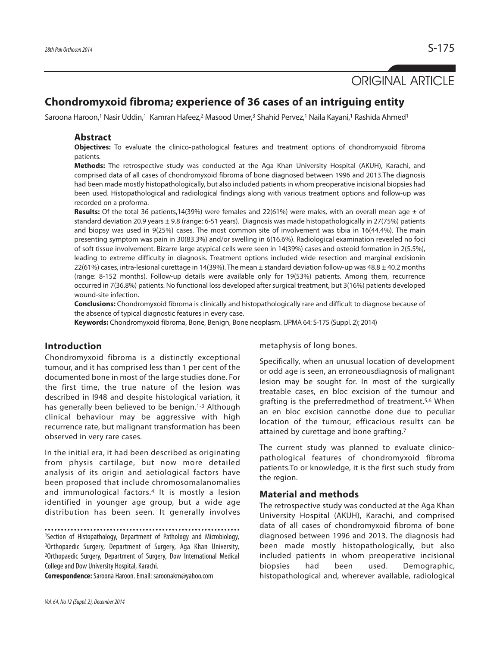# ORIGINAL ARTICLE

## **Chondromyxoid fibroma; experience of 36 cases of an intriguing entity**

Saroona Haroon,<sup>1</sup> Nasir Uddin,<sup>1</sup> Kamran Hafeez,<sup>2</sup> Masood Umer,<sup>3</sup> Shahid Pervez,<sup>1</sup> Naila Kayani,<sup>1</sup> Rashida Ahmed<sup>1</sup>

#### **Abstract**

**Objectives:** To evaluate the clinico-pathological features and treatment options of chondromyxoid fibroma patients.

**Methods:** The retrospective study was conducted at the Aga Khan University Hospital (AKUH), Karachi, and comprised data of all cases of chondromyxoid fibroma of bone diagnosed between 1996 and 2013.The diagnosis had been made mostly histopathologically, but also included patients in whom preoperative incisional biopsies had been used. Histopathological and radiological findings along with various treatment options and follow-up was recorded on a proforma.

**Results:** Of the total 36 patients,14(39%) were females and 22(61%) were males, with an overall mean age  $\pm$  of standard deviation 20.9 years ± 9.8 (range: 6-51 years). Diagnosis was made histopathologically in 27(75%) patients and biopsy was used in 9(25%) cases. The most common site of involvement was tibia in 16(44.4%). The main presenting symptom was pain in 30(83.3%) and/or swelling in 6(16.6%). Radiological examination revealed no foci of soft tissue involvement. Bizarre large atypical cells were seen in 14(39%) cases and osteoid formation in 2(5.5%), leading to extreme difficulty in diagnosis. Treatment options included wide resection and marginal excisionin 22(61%) cases, intra-lesional curettage in 14(39%). The mean  $\pm$  standard deviation follow-up was 48.8  $\pm$  40.2 months (range: 8-152 months). Follow-up details were available only for 19(53%) patients. Among them, recurrence occurred in 7(36.8%) patients. No functional loss developed after surgical treatment, but 3(16%) patients developed wound-site infection.

**Conclusions:** Chondromyxoid fibroma is clinically and histopathologically rare and difficult to diagnose because of the absence of typical diagnostic features in every case.

**Keywords:** Chondromyxoid fibroma, Bone, Benign, Bone neoplasm. (JPMA 64: S-175 (Suppl. 2); 2014)

### **Introduction**

Chondromyxoid fibroma is a distinctly exceptional tumour, and it has comprised less than 1 per cent of the documented bone in most of the large studies done. For the first time, the true nature of the lesion was described in I948 and despite histological variation, it has generally been believed to be benign.<sup>1-3</sup> Although clinical behaviour may be aggressive with high recurrence rate, but malignant transformation has been observed in very rare cases.

In the initial era, it had been described as originating from physis cartilage, but now more detailed analysis of its origin and aetiological factors have been proposed that include chromosomalanomalies and immunological factors.<sup>4</sup> It is mostly a lesion identified in younger age group, but a wide age distribution has been seen. It generally involves

<sup>1</sup>Section of Histopathology, Department of Pathology and Microbiology,

<sup>3</sup>Orthopaedic Surgery, Department of Surgery, Aga Khan University, <sup>2</sup>Orthopaedic Surgery, Department of Surgery, Dow International Medical College and Dow University Hospital, Karachi.

**Correspondence:**Saroona Haroon. Email: saroonakm@yahoo.com

metaphysis of long bones.

Specifically, when an unusual location of development or odd age is seen, an erroneousdiagnosis of malignant lesion may be sought for. In most of the surgically treatable cases, en bloc excision of the tumour and grafting is the preferredmethod of treatment.5,6 When an en bloc excision cannotbe done due to peculiar location of the tumour, efficacious results can be attained by curettage and bone grafting.<sup>7</sup>

The current study was planned to evaluate clinicopathological features of chondromyxoid fibroma patients.To or knowledge, it is the first such study from the region.

#### **Material and methods**

The retrospective study was conducted at the Aga Khan University Hospital (AKUH), Karachi, and comprised data of all cases of chondromyxoid fibroma of bone diagnosed between 1996 and 2013. The diagnosis had been made mostly histopathologically, but also included patients in whom preoperative incisional biopsies had been used. Demographic, histopathological and, wherever available, radiological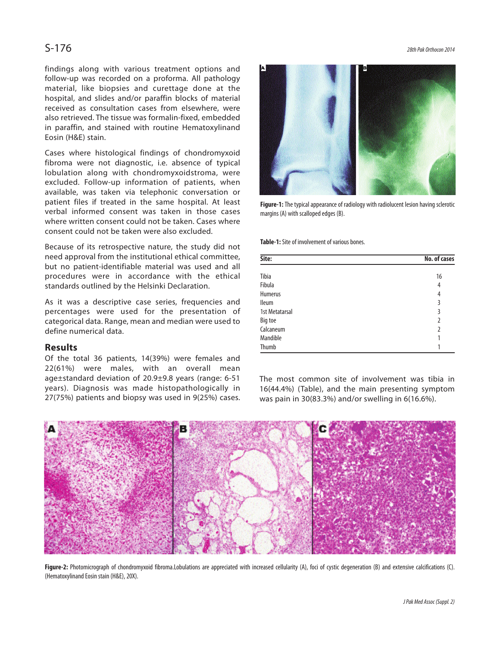findings along with various treatment options and follow-up was recorded on a proforma. All pathology material, like biopsies and curettage done at the hospital, and slides and/or paraffin blocks of material received as consultation cases from elsewhere, were also retrieved. The tissue was formalin-fixed, embedded in paraffin, and stained with routine Hematoxylinand Eosin (H&E) stain.

Cases where histological findings of chondromyxoid fibroma were not diagnostic, i.e. absence of typical lobulation along with chondromyxoidstroma, were excluded. Follow-up information of patients, when available, was taken via telephonic conversation or patient files if treated in the same hospital. At least verbal informed consent was taken in those cases where written consent could not be taken. Cases where consent could not be taken were also excluded.

Because of its retrospective nature, the study did not need approval from the institutional ethical committee, but no patient-identifiable material was used and all procedures were in accordance with the ethical standards outlined by the Helsinki Declaration.

As it was a descriptive case series, frequencies and percentages were used for the presentation of categorical data. Range, mean and median were used to define numerical data.

#### **Results**

Of the total 36 patients, 14(39%) were females and 22(61%) were males, with an overall mean age±standard deviation of 20.9±9.8 years (range: 6-51 years). Diagnosis was made histopathologically in 27(75%) patients and biopsy was used in 9(25%) cases.

 $S-176$ 



**Figure-1:** The typical appearance of radiology with radiolucent lesion having sclerotic margins (A) with scalloped edges (B).

**Table-1:** Site of involvement of various bones.

| Site:          | No. of cases   |
|----------------|----------------|
| Tibia          | 16             |
| Fibula         | 4              |
| <b>Humerus</b> | $\overline{4}$ |
| <b>Ileum</b>   | 3              |
| 1st Metatarsal | 3              |
| Big toe        | $\overline{2}$ |
| Calcaneum      | $\overline{2}$ |
| Mandible       |                |
| Thumb          |                |

The most common site of involvement was tibia in 16(44.4%) (Table), and the main presenting symptom was pain in 30(83.3%) and/or swelling in 6(16.6%).



Figure-2: Photomicrograph of chondromyxoid fibroma.Lobulations are appreciated with increased cellularity (A), foci of cystic degeneration (B) and extensive calcifications (C). (Hematoxylinand Eosin stain (H&E), 20X).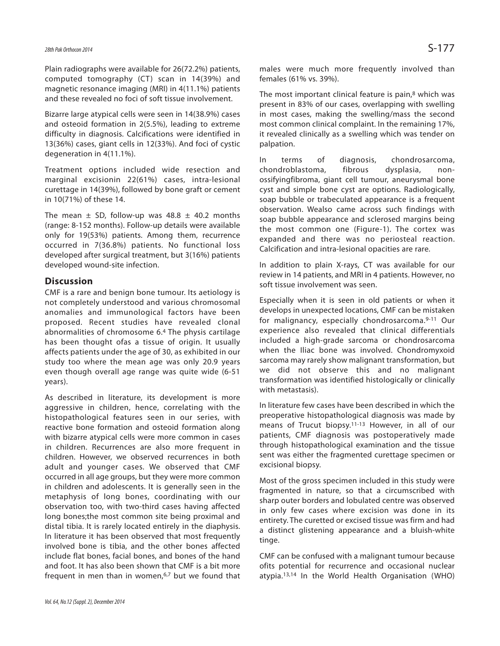Plain radiographs were available for 26(72.2%) patients, computed tomography (CT) scan in 14(39%) and magnetic resonance imaging (MRI) in 4(11.1%) patients and these revealed no foci of soft tissue involvement.

Bizarre large atypical cells were seen in 14(38.9%) cases and osteoid formation in 2(5.5%), leading to extreme difficulty in diagnosis. Calcifications were identified in 13(36%) cases, giant cells in 12(33%). And foci of cystic degeneration in 4(11.1%).

Treatment options included wide resection and marginal excisionin 22(61%) cases, intra-lesional curettage in 14(39%), followed by bone graft or cement in 10(71%) of these 14.

The mean  $\pm$  SD, follow-up was 48.8  $\pm$  40.2 months (range: 8-152 months). Follow-up details were available only for 19(53%) patients. Among them, recurrence occurred in 7(36.8%) patients. No functional loss developed after surgical treatment, but 3(16%) patients developed wound-site infection.

#### **Discussion**

CMF is a rare and benign bone tumour. Its aetiology is not completely understood and various chromosomal anomalies and immunological factors have been proposed. Recent studies have revealed clonal abnormalities of chromosome 6.<sup>4</sup> The physis cartilage has been thought ofas a tissue of origin. It usually affects patients under the age of 30, as exhibited in our study too where the mean age was only 20.9 years even though overall age range was quite wide (6-51 years).

As described in literature, its development is more aggressive in children, hence, correlating with the histopathological features seen in our series, with reactive bone formation and osteoid formation along with bizarre atypical cells were more common in cases in children. Recurrences are also more frequent in children. However, we observed recurrences in both adult and younger cases. We observed that CMF occurred in all age groups, but they were more common in children and adolescents. It is generally seen in the metaphysis of long bones, coordinating with our observation too, with two-third cases having affected long bones;the most common site being proximal and distal tibia. It is rarely located entirely in the diaphysis. In literature it has been observed that most frequently involved bone is tibia, and the other bones affected include flat bones, facial bones, and bones of the hand and foot. It has also been shown that CMF is a bit more frequent in men than in women, $6,7$  but we found that males were much more frequently involved than females (61% vs. 39%).

The most important clinical feature is pain,<sup>8</sup> which was present in 83% of our cases, overlapping with swelling in most cases, making the swelling/mass the second most common clinical complaint. In the remaining 17%, it revealed clinically as a swelling which was tender on palpation.

In terms of diagnosis, chondrosarcoma, chondroblastoma, fibrous dysplasia, nonossifyingfibroma, giant cell tumour, aneurysmal bone cyst and simple bone cyst are options. Radiologically, soap bubble or trabeculated appearance is a frequent observation. Wealso came across such findings with soap bubble appearance and sclerosed margins being the most common one (Figure-1). The cortex was expanded and there was no periosteal reaction. Calcification and intra-lesional opacities are rare.

In addition to plain X-rays, CT was available for our review in 14 patients, and MRI in 4 patients. However, no soft tissue involvement was seen.

Especially when it is seen in old patients or when it develops in unexpected locations, CMF can be mistaken for malignancy, especially chondrosarcoma.9-11 Our experience also revealed that clinical differentials included a high-grade sarcoma or chondrosarcoma when the Iliac bone was involved. Chondromyxoid sarcoma may rarely show malignant transformation, but we did not observe this and no malignant transformation was identified histologically or clinically with metastasis).

In literature few cases have been described in which the preoperative histopathological diagnosis was made by means of Trucut biopsy.11-13 However, in all of our patients, CMF diagnosis was postoperatively made through histopathological examination and the tissue sent was either the fragmented curettage specimen or excisional biopsy.

Most of the gross specimen included in this study were fragmented in nature, so that a circumscribed with sharp outer borders and lobulated centre was observed in only few cases where excision was done in its entirety. The curetted or excised tissue was firm and had a distinct glistening appearance and a bluish-white tinge.

CMF can be confused with a malignant tumour because ofits potential for recurrence and occasional nuclear atypia.13,14 In the World Health Organisation (WHO)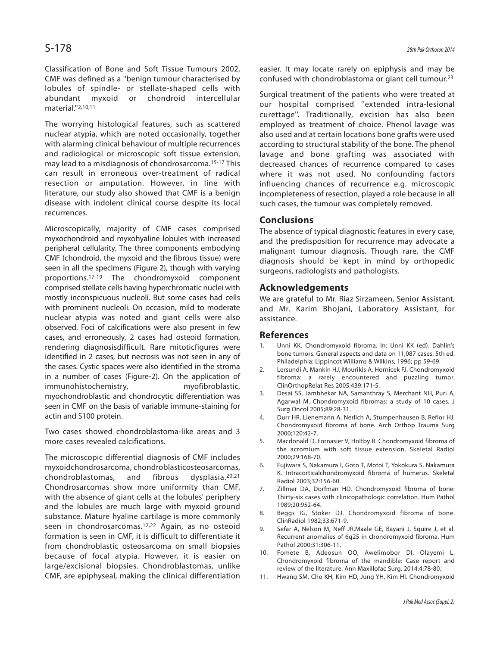Classification of Bone and Soft Tissue Tumours 2002, CMF was defined as a ''benign tumour characterised by lobules of spindle- or stellate-shaped cells with abundant myxoid or chondroid intercellular material.''2,10,11

The worrying histological features, such as scattered nuclear atypia, which are noted occasionally, together with alarming clinical behaviour of multiple recurrences and radiological or microscopic soft tissue extension, may lead to a misdiagnosis of chondrosarcoma.15-17 This can result in erroneous over-treatment of radical resection or amputation. However, in line with literature, our study also showed that CMF is a benign disease with indolent clinical course despite its local recurrences.

Microscopically, majority of CMF cases comprised myxochondroid and myxohyaline lobules with increased peripheral cellularity. The three components embodying CMF (chondroid, the myxoid and the fibrous tissue) were seen in all the specimens (Figure 2), though with varying proportions.17-19 The chondromyxoid component comprised stellate cells having hyperchromatic nuclei with mostly inconspicuous nucleoli. But some cases had cells with prominent nucleoli. On occasion, mild to moderate nuclear atypia was noted and giant cells were also observed. Foci of calcifications were also present in few cases, and erroneously, 2 cases had osteoid formation, rendering diagnosisdifficult. Rare mitoticfigures were identified in 2 cases, but necrosis was not seen in any of the cases. Cystic spaces were also identified in the stroma in a number of cases (Figure-2). On the application of immunohistochemistry, myofibroblastic, myochondroblastic and chondrocytic differentiation was seen in CMF on the basis of variable immune-staining for actin and S100 protein.

Two cases showed chondroblastoma-like areas and 3 more cases revealed calcifications.

The microscopic differential diagnosis of CMF includes myxoidchondrosarcoma, chondroblasticosteosarcomas, chondroblastomas, and fibrous dysplasia.20,21 Chondrosarcomas show more uniformity than CMF, with the absence of giant cells at the lobules' periphery and the lobules are much large with myxoid ground substance. Mature hyaline cartilage is more commonly seen in chondrosarcomas.<sup>12,22</sup> Again, as no osteoid formation is seen in CMF, it is difficult to differentiate it from chondroblastic osteosarcoma on small biopsies because of focal atypia. However, it is easier on large/excisional biopsies. Chondroblastomas, unlike CMF, are epiphyseal, making the clinical differentiation easier. It may locate rarely on epiphysis and may be confused with chondroblastoma or giant cell tumour.<sup>23</sup>

Surgical treatment of the patients who were treated at our hospital comprised ''extended intra-lesional curettage''. Traditionally, excision has also been employed as treatment of choice. Phenol lavage was also used and at certain locations bone grafts were used according to structural stability of the bone. The phenol lavage and bone grafting was associated with decreased chances of recurrence compared to cases where it was not used. No confounding factors influencing chances of recurrence e.g. microscopic incompleteness of resection, played a role because in all such cases, the tumour was completely removed.

### **Conclusions**

The absence of typical diagnostic features in every case, and the predisposition for recurrence may advocate a malignant tumour diagnosis. Though rare, the CMF diagnosis should be kept in mind by orthopedic surgeons, radiologists and pathologists.

#### **Acknowledgements**

We are grateful to Mr. Riaz Sirzameen, Senior Assistant, and Mr. Karim Bhojani, Laboratory Assistant, for assistance.

#### **References**

- 1. Unni KK. Chondromyxoid fibroma. In: Unni KK (ed). Dahlin's bone tumors. General aspects and data on 11,087 cases. 5th ed. Philadelphia: Lippincot Williams & Wilkins, 1996; pp 59-69.
- 2. Lersundi A, Mankin HJ, Mourikis A, Hornicek FJ. Chondromyxoid fibroma: a rarely encountered and puzzling tumor. ClinOrthopRelat Res 2005;439:171-5.
- 3. Desai SS, Jambhekar NA, Samanthray S, Merchant NH, Puri A, Agarwal M. Chondromyxoid fibromas: a study of 10 cases. J Surg Oncol 2005;89:28-31.
- 4. Durr HR, Lienemann A, Nerlich A, Stumpenhausen B, Refior HJ. Chondromyxoid fibroma of bone. Arch Orthop Trauma Surg 2000;120:42-7.
- 5. Macdonald D, Fornasier V, Holtby R. Chondromyxoid fibroma of the acromium with soft tissue extension. Skeletal Radiol 2000;29:168-70.
- 6. Fujiwara S, Nakamura I, Goto T, Motoi T, Yokokura S, Nakamura K. Intracorticalchondromyxoid fibroma of humerus. Skeletal Radiol 2003;32:156-60.
- 7. Zillmer DA, Dorfman HD. Chondromyxoid fibroma of bone: Thirty-six cases with clinicopathologic correlation. Hum Pathol 1989;20:952-64.
- 8. Beggs IG, Stoker DJ. Chondromyxoid fibroma of bone. ClinRadiol 1982;33:671-9.
- 9. Sefar A, Nelson M, Neff JR,Maale GE, Bayani J, Squire J, et al. Recurrent anomalies of 6q25 in chondromyxoid fibroma. Hum Pathol 2000;31:306-11.
- 10. Fomete B, Adeosun OO, Awelimobor DI, Olayemi L. Chondromyxoid fibroma of the mandible: Case report and review of the literature. Ann Maxillofac Surg. 2014;4:78-80.
- 11. Hwang SM, Cho KH, Kim HD, Jung YH, Kim HI. Chondromyxoid